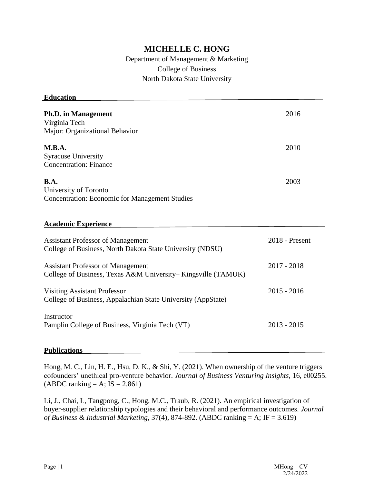# **MICHELLE C. HONG**

# Department of Management & Marketing College of Business North Dakota State University

| <b>Education</b>                                             |                |
|--------------------------------------------------------------|----------------|
|                                                              |                |
| <b>Ph.D.</b> in Management                                   | 2016           |
| Virginia Tech                                                |                |
| Major: Organizational Behavior                               |                |
| M.B.A.                                                       | 2010           |
| <b>Syracuse University</b>                                   |                |
| <b>Concentration: Finance</b>                                |                |
| <b>B.A.</b>                                                  | 2003           |
| University of Toronto                                        |                |
| <b>Concentration: Economic for Management Studies</b>        |                |
|                                                              |                |
|                                                              |                |
| <b>Academic Experience</b>                                   |                |
|                                                              |                |
| <b>Assistant Professor of Management</b>                     | 2018 - Present |
| College of Business, North Dakota State University (NDSU)    |                |
|                                                              |                |
| <b>Assistant Professor of Management</b>                     | $2017 - 2018$  |
| College of Business, Texas A&M University-Kingsville (TAMUK) |                |
| <b>Visiting Assistant Professor</b>                          | $2015 - 2016$  |
| College of Business, Appalachian State University (AppState) |                |
|                                                              |                |
| Instructor                                                   |                |
| Pamplin College of Business, Virginia Tech (VT)              | $2013 - 2015$  |
|                                                              |                |
|                                                              |                |

### **Publications**

Hong, M. C., Lin, H. E., Hsu, D. K., & Shi, Y. (2021). When ownership of the venture triggers cofounders' unethical pro-venture behavior. *Journal of Business Venturing Insights*, 16, e00255.  $(ABDC$  ranking = A; IS = 2.861)

Li, J., Chai, L, Tangpong, C., Hong, M.C., Traub, R. (2021). An empirical investigation of buyer-supplier relationship typologies and their behavioral and performance outcomes. *Journal of Business & Industrial Marketing*, 37(4), 874-892. (ABDC ranking = A; IF = 3.619)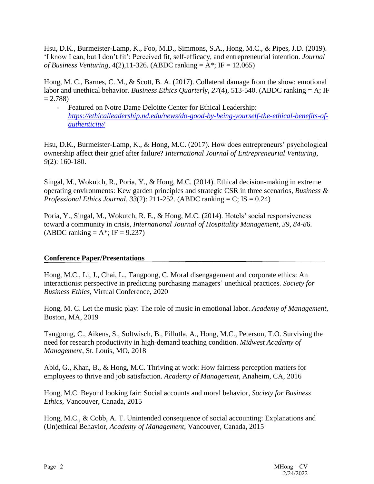Hsu, D.K., Burmeister-Lamp, K., Foo, M.D., Simmons, S.A., Hong, M.C., & Pipes, J.D. (2019). 'I know I can, but I don't fit': Perceived fit, self-efficacy, and entrepreneurial intention. *Journal of Business Venturing*, 4(2),11-326. (ABDC ranking = A\*; IF = 12.065)

Hong, M. C., Barnes, C. M., & Scott, B. A. (2017). Collateral damage from the show: emotional labor and unethical behavior. *Business Ethics Quarterly*, *27*(4), 513-540. (ABDC ranking = A; IF  $= 2.788$ 

- Featured on Notre Dame Deloitte Center for Ethical Leadership: *[https://ethicalleadership.nd.edu/news/do-good-by-being-yourself-the-ethical-benefits-of](https://ethicalleadership.nd.edu/news/do-good-by-being-yourself-the-ethical-benefits-of-authenticity/)[authenticity/](https://ethicalleadership.nd.edu/news/do-good-by-being-yourself-the-ethical-benefits-of-authenticity/)*

Hsu, D.K., Burmeister-Lamp, K., & Hong, M.C. (2017). How does entrepreneurs' psychological ownership affect their grief after failure? *International Journal of Entrepreneurial Venturing*, *9*(2): 160-180.

Singal, M., Wokutch, R., Poria, Y., & Hong, M.C. (2014). Ethical decision-making in extreme operating environments: Kew garden principles and strategic CSR in three scenarios, *Business & Professional Ethics Journal*,  $33(2)$ : 211-252. (ABDC ranking = C; IS = 0.24)

Poria, Y., Singal, M., Wokutch, R. E., & Hong, M.C. (2014). Hotels' social responsiveness toward a community in crisis, *International Journal of Hospitality Management, 39, 84-8*6.  $(ABDC$  ranking = A\*; IF = 9.237)

# **Conference Paper/Presentations**

Hong, M.C., Li, J., Chai, L., Tangpong, C. Moral disengagement and corporate ethics: An interactionist perspective in predicting purchasing managers' unethical practices. *Society for Business Ethics*, Virtual Conference, 2020

Hong, M. C. Let the music play: The role of music in emotional labor. *Academy of Management*, Boston, MA, 2019

Tangpong, C., Aikens, S., Soltwisch, B., Pillutla, A., Hong, M.C., Peterson, T.O. Surviving the need for research productivity in high-demand teaching condition. *Midwest Academy of Management*, St. Louis, MO, 2018

Abid, G., Khan, B., & Hong, M.C. Thriving at work: How fairness perception matters for employees to thrive and job satisfaction. *Academy of Management*, Anaheim, CA, 2016

Hong, M.C. Beyond looking fair: Social accounts and moral behavior, *Society for Business Ethics,* Vancouver, Canada, 2015

Hong, M.C., & Cobb, A. T. Unintended consequence of social accounting: Explanations and (Un)ethical Behavior, *Academy of Management*, Vancouver, Canada, 2015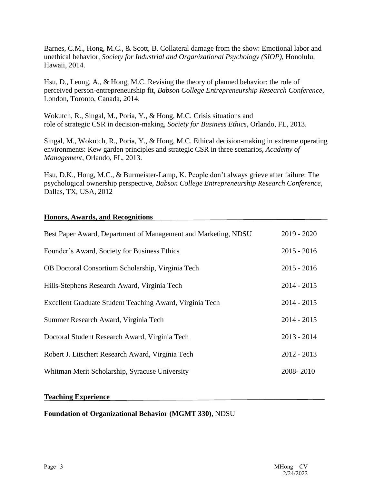Barnes, C.M., Hong, M.C., & Scott, B. Collateral damage from the show: Emotional labor and unethical behavior, *Society for Industrial and Organizational Psychology (SIOP)*, Honolulu, Hawaii, 2014.

Hsu, D., Leung, A., & Hong, M.C. Revising the theory of planned behavior: the role of perceived person-entrepreneurship fit, *Babson College Entrepreneurship Research Conference*, London, Toronto, Canada, 2014.

Wokutch, R., Singal, M., Poria, Y., & Hong, M.C. Crisis situations and role of strategic CSR in decision-making, *Society for Business Ethics*, Orlando, FL, 2013.

Singal, M., Wokutch, R., Poria, Y., & Hong, M.C. Ethical decision-making in extreme operating environments: Kew garden principles and strategic CSR in three scenarios, *Academy of Management*, Orlando, FL, 2013.

Hsu, D.K., Hong, M.C., & Burmeister-Lamp, K. People don't always grieve after failure: The psychological ownership perspective, *Babson College Entrepreneurship Research Conference*, Dallas, TX, USA, 2012

|  | <b>Honors, Awards, and Recognitions</b> |  |
|--|-----------------------------------------|--|
|  |                                         |  |

| Best Paper Award, Department of Management and Marketing, NDSU | $2019 - 2020$ |
|----------------------------------------------------------------|---------------|
| Founder's Award, Society for Business Ethics                   | $2015 - 2016$ |
| OB Doctoral Consortium Scholarship, Virginia Tech              | $2015 - 2016$ |
| Hills-Stephens Research Award, Virginia Tech                   | $2014 - 2015$ |
| Excellent Graduate Student Teaching Award, Virginia Tech       | $2014 - 2015$ |
| Summer Research Award, Virginia Tech                           | $2014 - 2015$ |
| Doctoral Student Research Award, Virginia Tech                 | $2013 - 2014$ |
| Robert J. Litschert Research Award, Virginia Tech              | $2012 - 2013$ |
| Whitman Merit Scholarship, Syracuse University                 | 2008-2010     |

#### **Teaching Experience**

### **Foundation of Organizational Behavior (MGMT 330)**, NDSU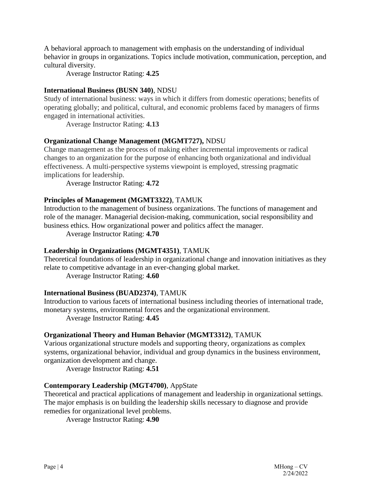A behavioral approach to management with emphasis on the understanding of individual behavior in groups in organizations. Topics include motivation, communication, perception, and cultural diversity.

Average Instructor Rating: **4.25**

# **International Business (BUSN 340)**, NDSU

Study of international business: ways in which it differs from domestic operations; benefits of operating globally; and political, cultural, and economic problems faced by managers of firms engaged in international activities.

Average Instructor Rating: **4.13**

# **Organizational Change Management (MGMT727),** NDSU

Change management as the process of making either incremental improvements or radical changes to an organization for the purpose of enhancing both organizational and individual effectiveness. A multi-perspective systems viewpoint is employed, stressing pragmatic implications for leadership.

Average Instructor Rating: **4.72**

# **Principles of Management (MGMT3322)**, TAMUK

Introduction to the management of business organizations. The functions of management and role of the manager. Managerial decision-making, communication, social responsibility and business ethics. How organizational power and politics affect the manager.

Average Instructor Rating: **4.70**

# **Leadership in Organizations (MGMT4351)**, TAMUK

Theoretical foundations of leadership in organizational change and innovation initiatives as they relate to competitive advantage in an ever-changing global market.

Average Instructor Rating: **4.60**

### **International Business (BUAD2374)**, TAMUK

Introduction to various facets of international business including theories of international trade, monetary systems, environmental forces and the organizational environment.

Average Instructor Rating: **4.45**

### **Organizational Theory and Human Behavior (MGMT3312)**, TAMUK

Various organizational structure models and supporting theory, organizations as complex systems, organizational behavior, individual and group dynamics in the business environment, organization development and change.

Average Instructor Rating: **4.51**

# **Contemporary Leadership (MGT4700)**, AppState

Theoretical and practical applications of management and leadership in organizational settings. The major emphasis is on building the leadership skills necessary to diagnose and provide remedies for organizational level problems.

Average Instructor Rating: **4.90**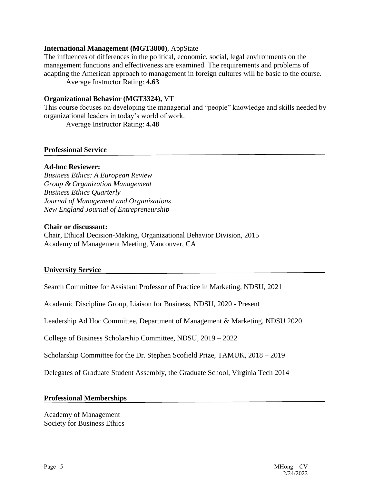#### **International Management (MGT3800)**, AppState

The influences of differences in the political, economic, social, legal environments on the management functions and effectiveness are examined. The requirements and problems of adapting the American approach to management in foreign cultures will be basic to the course. Average Instructor Rating: **4.63**

#### **Organizational Behavior (MGT3324),** VT

This course focuses on developing the managerial and "people" knowledge and skills needed by organizational leaders in today's world of work.

Average Instructor Rating: **4.48**

#### **Professional Service**

### **Ad-hoc Reviewer:**

*Business Ethics: A European Review Group & Organization Management Business Ethics Quarterly Journal of Management and Organizations New England Journal of Entrepreneurship*

#### **Chair or discussant:**

Chair, Ethical Decision-Making, Organizational Behavior Division, 2015 Academy of Management Meeting, Vancouver, CA

### **University Service**

Search Committee for Assistant Professor of Practice in Marketing, NDSU, 2021

Academic Discipline Group, Liaison for Business, NDSU, 2020 - Present

Leadership Ad Hoc Committee, Department of Management & Marketing, NDSU 2020

College of Business Scholarship Committee, NDSU, 2019 – 2022

Scholarship Committee for the Dr. Stephen Scofield Prize, TAMUK, 2018 – 2019

Delegates of Graduate Student Assembly, the Graduate School, Virginia Tech 2014

#### **Professional Memberships**

Academy of Management Society for Business Ethics